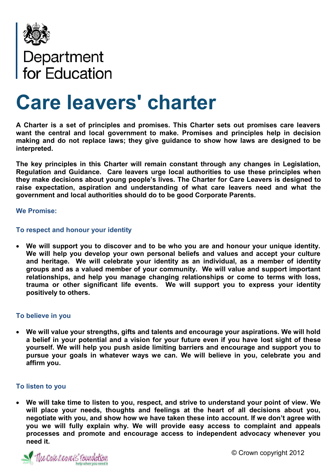

# Department<br>for Education

# **Care leavers' charter**

**A Charter is a set of principles and promises. This Charter sets out promises care leavers want the central and local government to make. Promises and principles help in decision making and do not replace laws; they give guidance to show how laws are designed to be interpreted.**

**The key principles in this Charter will remain constant through any changes in Legislation, Regulation and Guidance. Care leavers urge local authorities to use these principles when they make decisions about young people's lives. The Charter for Care Leavers is designed to raise expectation, aspiration and understanding of what care leavers need and what the government and local authorities should do to be good Corporate Parents.** 

#### **We Promise:**

# **To respect and honour your identity**

 **We will support you to discover and to be who you are and honour your unique identity. We will help you develop your own personal beliefs and values and accept your culture and heritage. We will celebrate your identity as an individual, as a member of identity groups and as a valued member of your community. We will value and support important relationships, and help you manage changing relationships or come to terms with loss, trauma or other significant life events. We will support you to express your identity positively to others.** 

#### **To believe in you**

 **We will value your strengths, gifts and talents and encourage your aspirations. We will hold a belief in your potential and a vision for your future even if you have lost sight of these yourself. We will help you push aside limiting barriers and encourage and support you to pursue your goals in whatever ways we can. We will believe in you, celebrate you and affirm you.**

#### **To listen to you**

 **We will take time to listen to you, respect, and strive to understand your point of view. We will place your needs, thoughts and feelings at the heart of all decisions about you, negotiate with you, and show how we have taken these into account. If we don't agree with you we will fully explain why. We will provide easy access to complaint and appeals processes and promote and encourage access to independent advocacy whenever you need it.**